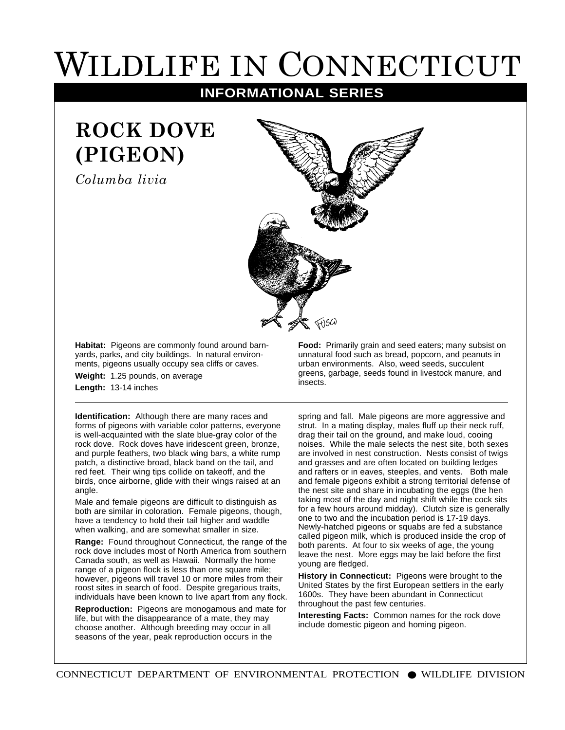## WILDLIFE IN CONNECTICUT

**INFORMATIONAL SERIES**

## **ROCK DOVE (PIGEON)**

*Columba livia*



**Habitat:** Pigeons are commonly found around barnyards, parks, and city buildings. In natural environments, pigeons usually occupy sea cliffs or caves.

**Weight:** 1.25 pounds, on average **Length:** 13-14 inches

**Identification:** Although there are many races and forms of pigeons with variable color patterns, everyone is well-acquainted with the slate blue-gray color of the rock dove. Rock doves have iridescent green, bronze, and purple feathers, two black wing bars, a white rump patch, a distinctive broad, black band on the tail, and red feet. Their wing tips collide on takeoff, and the birds, once airborne, glide with their wings raised at an angle.

Male and female pigeons are difficult to distinguish as both are similar in coloration. Female pigeons, though, have a tendency to hold their tail higher and waddle when walking, and are somewhat smaller in size.

**Range:** Found throughout Connecticut, the range of the rock dove includes most of North America from southern Canada south, as well as Hawaii. Normally the home range of a pigeon flock is less than one square mile; however, pigeons will travel 10 or more miles from their roost sites in search of food. Despite gregarious traits, individuals have been known to live apart from any flock.

**Reproduction:** Pigeons are monogamous and mate for life, but with the disappearance of a mate, they may choose another. Although breeding may occur in all seasons of the year, peak reproduction occurs in the

**Food:** Primarily grain and seed eaters; many subsist on unnatural food such as bread, popcorn, and peanuts in urban environments. Also, weed seeds, succulent greens, garbage, seeds found in livestock manure, and insects.

spring and fall. Male pigeons are more aggressive and strut. In a mating display, males fluff up their neck ruff, drag their tail on the ground, and make loud, cooing noises. While the male selects the nest site, both sexes are involved in nest construction. Nests consist of twigs and grasses and are often located on building ledges and rafters or in eaves, steeples, and vents. Both male and female pigeons exhibit a strong territorial defense of the nest site and share in incubating the eggs (the hen taking most of the day and night shift while the cock sits for a few hours around midday). Clutch size is generally one to two and the incubation period is 17-19 days. Newly-hatched pigeons or squabs are fed a substance called pigeon milk, which is produced inside the crop of both parents. At four to six weeks of age, the young leave the nest. More eggs may be laid before the first young are fledged.

**History in Connecticut:** Pigeons were brought to the United States by the first European settlers in the early 1600s. They have been abundant in Connecticut throughout the past few centuries.

**Interesting Facts:** Common names for the rock dove include domestic pigeon and homing pigeon.